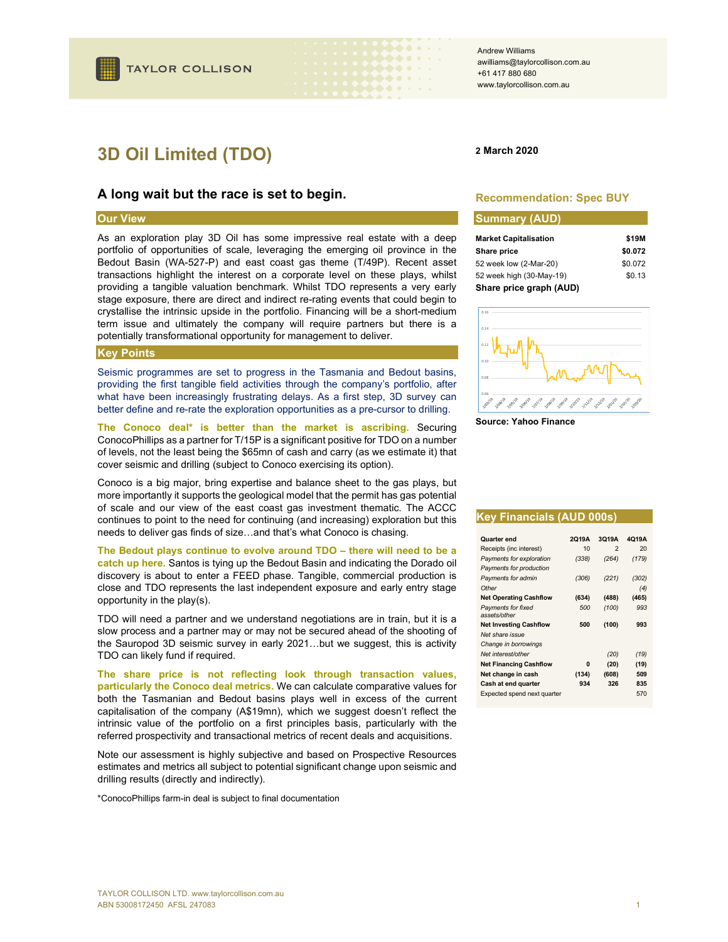## A long wait but the race is set to begin.

## Our View

As an exploration play 3D Oil has some impressive real estate with a deep portfolio of opportunities of scale, leveraging the emerging oil province in the Bedout Basin (WA-527-P) and east coast gas theme (T/49P). Recent asset transactions highlight the interest on a corporate level on these plays, whilst providing a tangible valuation benchmark. Whilst TDO represents a very early stage exposure, there are direct and indirect re-rating events that could begin to crystallise the intrinsic upside in the portfolio. Financing will be a short-medium term issue and ultimately the company will require partners but there is a potentially transformational opportunity for management to deliver.

### Key Points

Seismic programmes are set to progress in the Tasmania and Bedout basins, providing the first tangible field activities through the company's portfolio, after what have been increasingly frustrating delays. As a first step, 3D survey can better define and re-rate the exploration opportunities as a pre-cursor to drilling.

The Conoco deal\* is better than the market is ascribing. Securing ConocoPhillips as a partner for T/15P is a significant positive for TDO on a number of levels, not the least being the \$65mn of cash and carry (as we estimate it) that cover seismic and drilling (subject to Conoco exercising its option).

Conoco is a big major, bring expertise and balance sheet to the gas plays, but more importantly it supports the geological model that the permit has gas potential of scale and our view of the east coast gas investment thematic. The ACCC continues to point to the need for continuing (and increasing) exploration but this needs to deliver gas finds of size…and that's what Conoco is chasing.

### The Bedout plays continue to evolve around TDO – there will need to be a

catch up here. Santos is tying up the Bedout Basin and indicating the Dorado oil discovery is about to enter a FEED phase. Tangible, commercial production is close and TDO represents the last independent exposure and early entry stage opportunity in the play(s).

TDO will need a partner and we understand negotiations are in train, but it is a slow process and a partner may or may not be secured ahead of the shooting of the Sauropod 3D seismic survey in early 2021…but we suggest, this is activity TDO can likely fund if required.

The share price is not reflecting look through transaction values, particularly the Conoco deal metrics. We can calculate comparative values for both the Tasmanian and Bedout basins plays well in excess of the current capitalisation of the company (A\$19mn), which we suggest doesn't reflect the intrinsic value of the portfolio on a first principles basis, particularly with the referred prospectivity and transactional metrics of recent deals and acquisitions.

Note our assessment is highly subjective and based on Prospective Resources estimates and metrics all subject to potential significant change upon seismic and drilling results (directly and indirectly).

\*ConocoPhillips farm-in deal is subject to final documentation

### Andrew Williams awilliams@taylorcollison.com.au +61 417 880 680 www.taylorcollison.com.au

### 2 March 2020

. . . .

 $\blacktriangleright\blacklozenge\blacktriangle\blacktriangle$  and  $\blacktriangleright$ **. . .** .

### Recommendation: Spec BUY

# Summary (AUD) Market Capitalisation **\$19M**

| m, n, o, v, o, p, c, n, o, c, o, n | .       |
|------------------------------------|---------|
| Share price                        | \$0.072 |
| 52 week low (2-Mar-20)             | \$0.072 |
| 52 week high (30-May-19)           | \$0.13  |
| Share price graph (AUD)            |         |



Source: Yahoo Finance

#### Key Financials (AUD 000s)

| Quarter end                               | 2019A | 3Q19A | 4019A |
|-------------------------------------------|-------|-------|-------|
| Receipts (inc interest)                   | 10    | 2     | 20    |
| Payments for exploration                  | (338) | (264) | (179) |
| Payments for production                   |       |       |       |
| Payments for admin                        | (306) | (221) | (302) |
| Other                                     |       |       | (4)   |
| <b>Net Operating Cashflow</b>             | (634) | (488) | (465) |
| <b>Payments for fixed</b><br>assets/other | 500   | (100) | 993   |
| <b>Net Investing Cashflow</b>             | 500   | (100) | 993   |
| Net share issue                           |       |       |       |
| Change in borrowings                      |       |       |       |
| Net interest/other                        |       | (20)  | (19)  |
| <b>Net Financing Cashflow</b>             | n     | (20)  | (19)  |
| Net change in cash                        | (134) | (608) | 509   |
| Cash at end quarter                       | 934   | 326   | 835   |
| Expected spend next quarter               |       |       | 570   |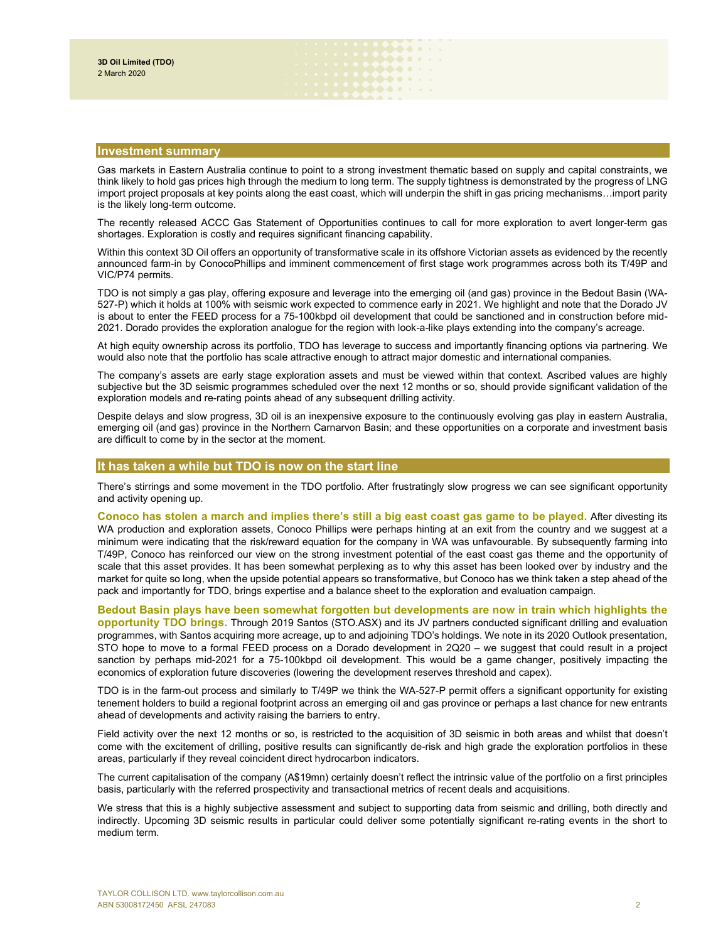## Investment summary

Gas markets in Eastern Australia continue to point to a strong investment thematic based on supply and capital constraints, we think likely to hold gas prices high through the medium to long term. The supply tightness is demonstrated by the progress of LNG import project proposals at key points along the east coast, which will underpin the shift in gas pricing mechanisms…import parity is the likely long-term outcome.

. . . . . . . . . . . . . **Nord and a Mateur** 

The recently released ACCC Gas Statement of Opportunities continues to call for more exploration to avert longer-term gas shortages. Exploration is costly and requires significant financing capability.

Within this context 3D Oil offers an opportunity of transformative scale in its offshore Victorian assets as evidenced by the recently announced farm-in by ConocoPhillips and imminent commencement of first stage work programmes across both its T/49P and VIC/P74 permits.

TDO is not simply a gas play, offering exposure and leverage into the emerging oil (and gas) province in the Bedout Basin (WA-527-P) which it holds at 100% with seismic work expected to commence early in 2021. We highlight and note that the Dorado JV is about to enter the FEED process for a 75-100kbpd oil development that could be sanctioned and in construction before mid-2021. Dorado provides the exploration analogue for the region with look-a-like plays extending into the company's acreage.

At high equity ownership across its portfolio, TDO has leverage to success and importantly financing options via partnering. We would also note that the portfolio has scale attractive enough to attract major domestic and international companies.

The company's assets are early stage exploration assets and must be viewed within that context. Ascribed values are highly subjective but the 3D seismic programmes scheduled over the next 12 months or so, should provide significant validation of the exploration models and re-rating points ahead of any subsequent drilling activity.

Despite delays and slow progress, 3D oil is an inexpensive exposure to the continuously evolving gas play in eastern Australia, emerging oil (and gas) province in the Northern Carnarvon Basin; and these opportunities on a corporate and investment basis are difficult to come by in the sector at the moment.

# It has taken a while but TDO is now on the start line

There's stirrings and some movement in the TDO portfolio. After frustratingly slow progress we can see significant opportunity and activity opening up.

Conoco has stolen a march and implies there's still a big east coast gas game to be played. After divesting its WA production and exploration assets, Conoco Phillips were perhaps hinting at an exit from the country and we suggest at a minimum were indicating that the risk/reward equation for the company in WA was unfavourable. By subsequently farming into T/49P, Conoco has reinforced our view on the strong investment potential of the east coast gas theme and the opportunity of scale that this asset provides. It has been somewhat perplexing as to why this asset has been looked over by industry and the market for quite so long, when the upside potential appears so transformative, but Conoco has we think taken a step ahead of the pack and importantly for TDO, brings expertise and a balance sheet to the exploration and evaluation campaign.

Bedout Basin plays have been somewhat forgotten but developments are now in train which highlights the opportunity TDO brings. Through 2019 Santos (STO.ASX) and its JV partners conducted significant drilling and evaluation programmes, with Santos acquiring more acreage, up to and adjoining TDO's holdings. We note in its 2020 Outlook presentation, STO hope to move to a formal FEED process on a Dorado development in 2Q20 – we suggest that could result in a project sanction by perhaps mid-2021 for a 75-100kbpd oil development. This would be a game changer, positively impacting the economics of exploration future discoveries (lowering the development reserves threshold and capex).

TDO is in the farm-out process and similarly to T/49P we think the WA-527-P permit offers a significant opportunity for existing tenement holders to build a regional footprint across an emerging oil and gas province or perhaps a last chance for new entrants ahead of developments and activity raising the barriers to entry.

Field activity over the next 12 months or so, is restricted to the acquisition of 3D seismic in both areas and whilst that doesn't come with the excitement of drilling, positive results can significantly de-risk and high grade the exploration portfolios in these areas, particularly if they reveal coincident direct hydrocarbon indicators.

The current capitalisation of the company (A\$19mn) certainly doesn't reflect the intrinsic value of the portfolio on a first principles basis, particularly with the referred prospectivity and transactional metrics of recent deals and acquisitions.

We stress that this is a highly subjective assessment and subject to supporting data from seismic and drilling, both directly and indirectly. Upcoming 3D seismic results in particular could deliver some potentially significant re-rating events in the short to medium term.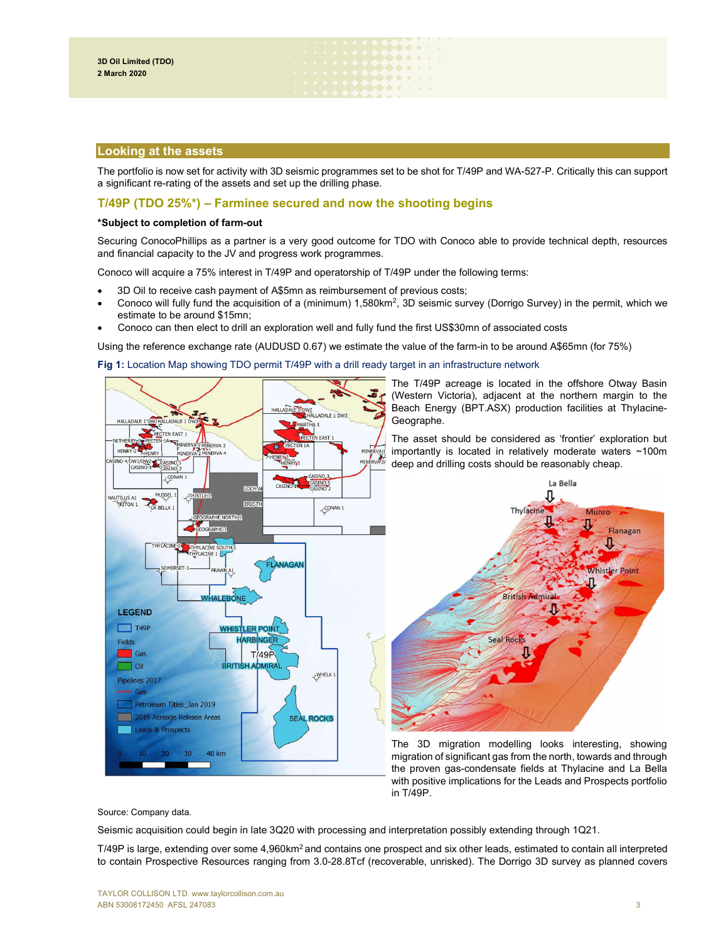## Looking at the assets

The portfolio is now set for activity with 3D seismic programmes set to be shot for T/49P and WA-527-P. Critically this can support a significant re-rating of the assets and set up the drilling phase.

. . . . . . . . . . .  $\bullet\bullet\bullet\bullet\;\cdot\;\cdot$ 

# T/49P (TDO 25%\*) – Farminee secured and now the shooting begins

## \*Subject to completion of farm-out

Securing ConocoPhillips as a partner is a very good outcome for TDO with Conoco able to provide technical depth, resources and financial capacity to the JV and progress work programmes.

Conoco will acquire a 75% interest in T/49P and operatorship of T/49P under the following terms:

- 3D Oil to receive cash payment of A\$5mn as reimbursement of previous costs;
- Conoco will fully fund the acquisition of a (minimum)  $1,580 \text{km}^2$ , 3D seismic survey (Dorrigo Survey) in the permit, which we estimate to be around \$15mn;
- Conoco can then elect to drill an exploration well and fully fund the first US\$30mn of associated costs

Using the reference exchange rate (AUDUSD 0.67) we estimate the value of the farm-in to be around A\$65mn (for 75%)

Fig 1: Location Map showing TDO permit T/49P with a drill ready target in an infrastructure network



the proven gas-condensate fields at Thylacine and La Bella with positive implications for the Leads and Prospects portfolio in T/49P.

Source: Company data.

Seismic acquisition could begin in late 3Q20 with processing and interpretation possibly extending through 1Q21.

T/49P is large, extending over some 4,960km<sup>2</sup> and contains one prospect and six other leads, estimated to contain all interpreted to contain Prospective Resources ranging from 3.0-28.8Tcf (recoverable, unrisked). The Dorrigo 3D survey as planned covers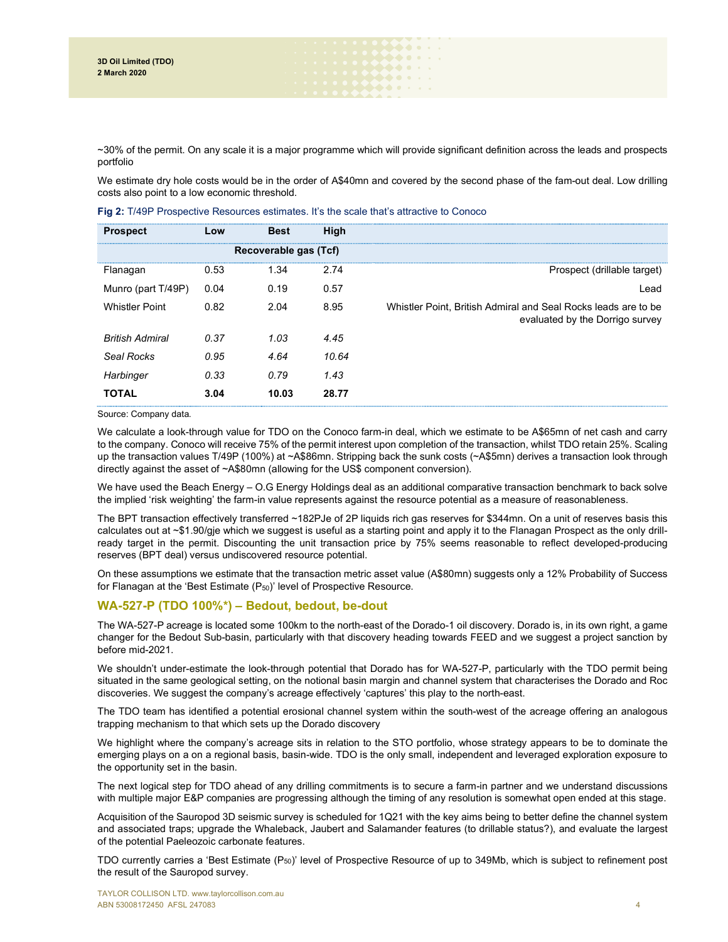~30% of the permit. On any scale it is a major programme which will provide significant definition across the leads and prospects portfolio

**Mara** a ser . . . . . . . . . . . . .

We estimate dry hole costs would be in the order of A\$40mn and covered by the second phase of the fam-out deal. Low drilling costs also point to a low economic threshold.

| <b>Prospect</b>        | Low  | <b>Best</b> | High  |                                                                                                   |
|------------------------|------|-------------|-------|---------------------------------------------------------------------------------------------------|
| Recoverable gas (Tcf)  |      |             |       |                                                                                                   |
| Flanagan               | 0.53 | 1.34        | 2.74  | Prospect (drillable target)                                                                       |
| Munro (part T/49P)     | 0.04 | 0.19        | 0.57  | Lead                                                                                              |
| <b>Whistler Point</b>  | 0.82 | 2.04        | 8.95  | Whistler Point, British Admiral and Seal Rocks leads are to be<br>evaluated by the Dorrigo survey |
| <b>British Admiral</b> | 0.37 | 1.03        | 4.45  |                                                                                                   |
| Seal Rocks             | 0.95 | 4.64        | 10.64 |                                                                                                   |
| Harbinger              | 0.33 | 0.79        | 1.43  |                                                                                                   |
| <b>TOTAL</b>           | 3.04 | 10.03       | 28.77 |                                                                                                   |

Fig 2: T/49P Prospective Resources estimates. It's the scale that's attractive to Conoco

Source: Company data.

We calculate a look-through value for TDO on the Conoco farm-in deal, which we estimate to be A\$65mn of net cash and carry to the company. Conoco will receive 75% of the permit interest upon completion of the transaction, whilst TDO retain 25%. Scaling up the transaction values T/49P (100%) at ~A\$86mn. Stripping back the sunk costs (~A\$5mn) derives a transaction look through directly against the asset of ~A\$80mn (allowing for the US\$ component conversion).

We have used the Beach Energy – O.G Energy Holdings deal as an additional comparative transaction benchmark to back solve the implied 'risk weighting' the farm-in value represents against the resource potential as a measure of reasonableness.

The BPT transaction effectively transferred ~182PJe of 2P liquids rich gas reserves for \$344mn. On a unit of reserves basis this calculates out at ~\$1.90/gje which we suggest is useful as a starting point and apply it to the Flanagan Prospect as the only drillready target in the permit. Discounting the unit transaction price by 75% seems reasonable to reflect developed-producing reserves (BPT deal) versus undiscovered resource potential.

On these assumptions we estimate that the transaction metric asset value (A\$80mn) suggests only a 12% Probability of Success for Flanagan at the 'Best Estimate  $(P_{50})$ ' level of Prospective Resource.

# WA-527-P (TDO 100%\*) – Bedout, bedout, be-dout

The WA-527-P acreage is located some 100km to the north-east of the Dorado-1 oil discovery. Dorado is, in its own right, a game changer for the Bedout Sub-basin, particularly with that discovery heading towards FEED and we suggest a project sanction by before mid-2021.

We shouldn't under-estimate the look-through potential that Dorado has for WA-527-P, particularly with the TDO permit being situated in the same geological setting, on the notional basin margin and channel system that characterises the Dorado and Roc discoveries. We suggest the company's acreage effectively 'captures' this play to the north-east.

The TDO team has identified a potential erosional channel system within the south-west of the acreage offering an analogous trapping mechanism to that which sets up the Dorado discovery

We highlight where the company's acreage sits in relation to the STO portfolio, whose strategy appears to be to dominate the emerging plays on a on a regional basis, basin-wide. TDO is the only small, independent and leveraged exploration exposure to the opportunity set in the basin.

The next logical step for TDO ahead of any drilling commitments is to secure a farm-in partner and we understand discussions with multiple major E&P companies are progressing although the timing of any resolution is somewhat open ended at this stage.

Acquisition of the Sauropod 3D seismic survey is scheduled for 1Q21 with the key aims being to better define the channel system and associated traps; upgrade the Whaleback, Jaubert and Salamander features (to drillable status?), and evaluate the largest of the potential Paeleozoic carbonate features.

TDO currently carries a 'Best Estimate (P50)' level of Prospective Resource of up to 349Mb, which is subject to refinement post the result of the Sauropod survey.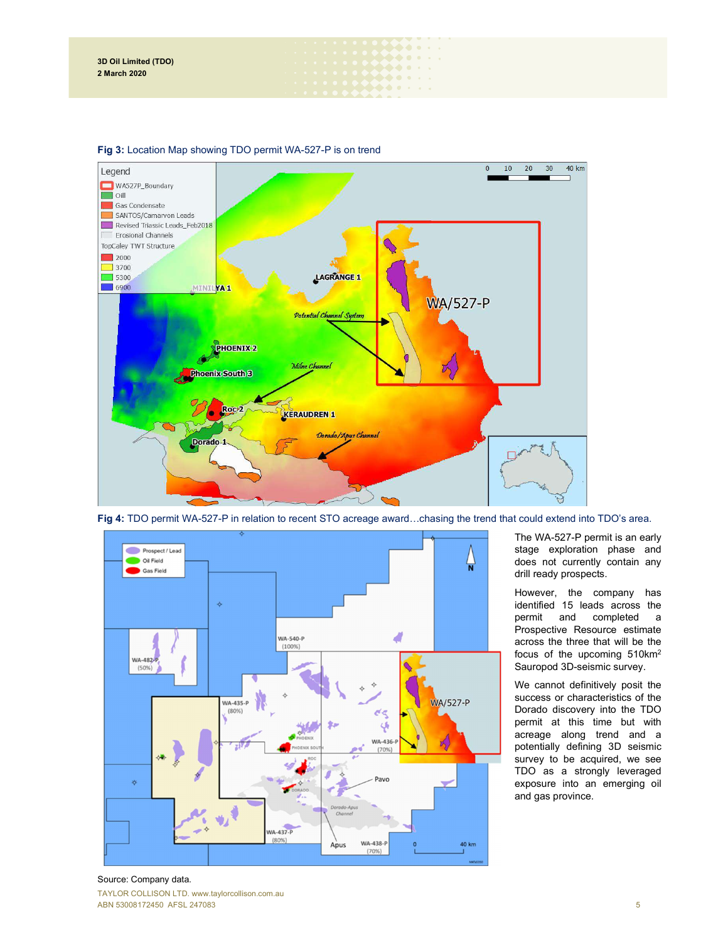

 $\bullet\bullet\bullet\bullet\cdot\cdot$  $\bullet\bullet\bullet\bullet\cdots$ . . . . . .

## Fig 3: Location Map showing TDO permit WA-527-P is on trend



Fig 4: TDO permit WA-527-P in relation to recent STO acreage award...chasing the trend that could extend into TDO's area.

The WA-527-P permit is an early stage exploration phase and does not currently contain any drill ready prospects.

However, the company has identified 15 leads across the permit and completed a Prospective Resource estimate across the three that will be the focus of the upcoming 510km<sup>2</sup> Sauropod 3D-seismic survey.

We cannot definitively posit the success or characteristics of the Dorado discovery into the TDO permit at this time but with acreage along trend and a potentially defining 3D seismic survey to be acquired, we see TDO as a strongly leveraged exposure into an emerging oil and gas province.

## TAYLOR COLLISON LTD. www.taylorcollison.com.au ABN 53008172450 AFSL 247083 55 September 2021 12:30 September 2021 12:30 September 2021 12:30 September 2021 1 Source: Company data.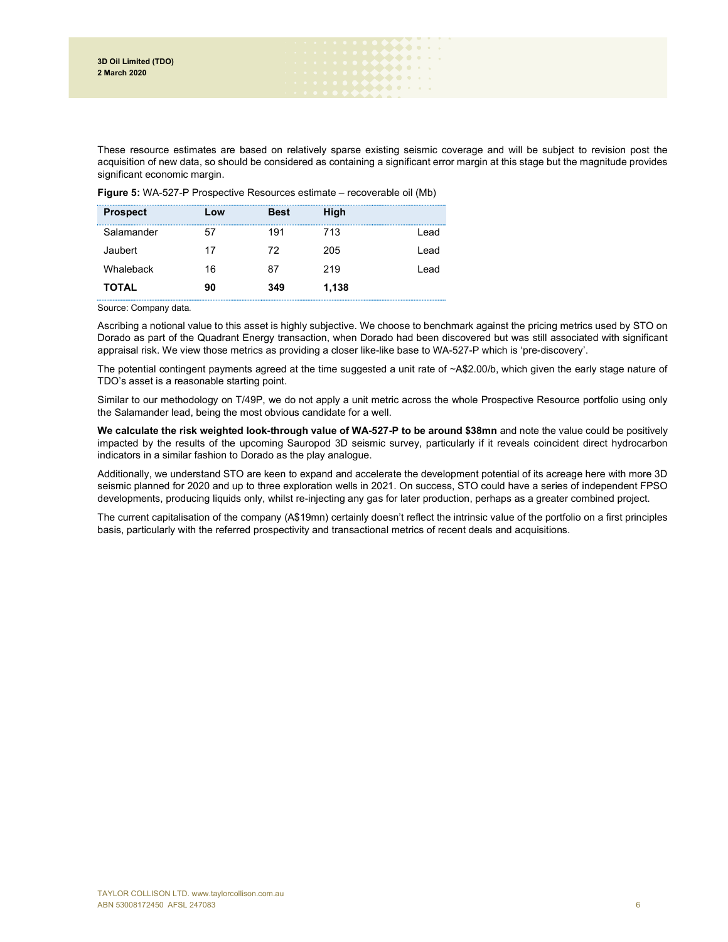These resource estimates are based on relatively sparse existing seismic coverage and will be subject to revision post the acquisition of new data, so should be considered as containing a significant error margin at this stage but the magnitude provides significant economic margin.

Figure 5: WA-527-P Prospective Resources estimate – recoverable oil (Mb)

| <b>Prospect</b> | Low | <b>Best</b> | High  |       |
|-----------------|-----|-------------|-------|-------|
| Salamander      |     | 191         | 713   | l ead |
| Jaubert         | 17  | 72          | 205   | l ead |
| Whaleback       | 16  | 87          | 219   | l ead |
| TOTAL           | 90  | 349         | 1,138 |       |

Source: Company data.

Ascribing a notional value to this asset is highly subjective. We choose to benchmark against the pricing metrics used by STO on Dorado as part of the Quadrant Energy transaction, when Dorado had been discovered but was still associated with significant appraisal risk. We view those metrics as providing a closer like-like base to WA-527-P which is 'pre-discovery'.

The potential contingent payments agreed at the time suggested a unit rate of ~A\$2.00/b, which given the early stage nature of TDO's asset is a reasonable starting point.

Similar to our methodology on T/49P, we do not apply a unit metric across the whole Prospective Resource portfolio using only the Salamander lead, being the most obvious candidate for a well.

We calculate the risk weighted look-through value of WA-527-P to be around \$38mn and note the value could be positively impacted by the results of the upcoming Sauropod 3D seismic survey, particularly if it reveals coincident direct hydrocarbon indicators in a similar fashion to Dorado as the play analogue.

Additionally, we understand STO are keen to expand and accelerate the development potential of its acreage here with more 3D seismic planned for 2020 and up to three exploration wells in 2021. On success, STO could have a series of independent FPSO developments, producing liquids only, whilst re-injecting any gas for later production, perhaps as a greater combined project.

The current capitalisation of the company (A\$19mn) certainly doesn't reflect the intrinsic value of the portfolio on a first principles basis, particularly with the referred prospectivity and transactional metrics of recent deals and acquisitions.